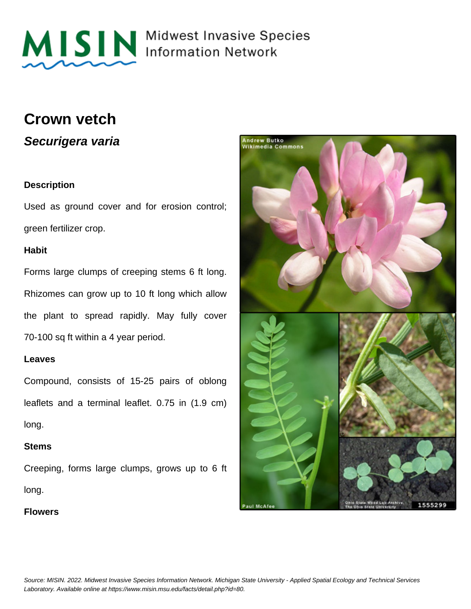

# MISIN Midwest Invasive Species

### **Crown vetch**

**Securigera varia**

#### **Description**

Used as ground cover and for erosion control; green fertilizer crop.

#### **Habit**

Forms large clumps of creeping stems 6 ft long. Rhizomes can grow up to 10 ft long which allow the plant to spread rapidly. May fully cover 70-100 sq ft within a 4 year period.

#### **Leaves**

Compound, consists of 15-25 pairs of oblong leaflets and a terminal leaflet. 0.75 in (1.9 cm) long.

#### **Stems**

Creeping, forms large clumps, grows up to 6 ft long.

**Flowers**

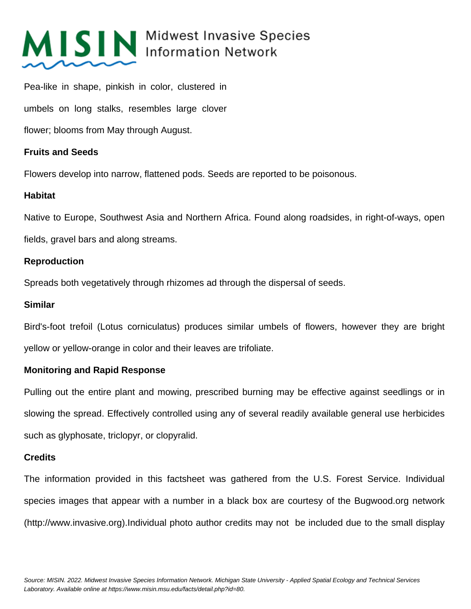# MISIN Midwest Invasive Species

Pea-like in shape, pinkish in color, clustered in umbels on long stalks, resembles large clover flower; blooms from May through August.

#### **Fruits and Seeds**

Flowers develop into narrow, flattened pods. Seeds are reported to be poisonous.

#### **Habitat**

Native to Europe, Southwest Asia and Northern Africa. Found along roadsides, in right-of-ways, open fields, gravel bars and along streams.

#### **Reproduction**

Spreads both vegetatively through rhizomes ad through the dispersal of seeds.

#### **Similar**

Bird's-foot trefoil (Lotus corniculatus) produces similar umbels of flowers, however they are bright yellow or yellow-orange in color and their leaves are trifoliate.

### **Monitoring and Rapid Response**

Pulling out the entire plant and mowing, prescribed burning may be effective against seedlings or in slowing the spread. Effectively controlled using any of several readily available general use herbicides such as glyphosate, triclopyr, or clopyralid.

#### **Credits**

The information provided in this factsheet was gathered from the U.S. Forest Service. Individual species images that appear with a number in a black box are courtesy of the Bugwood.org network (http://www.invasive.org).Individual photo author credits may not be included due to the small display